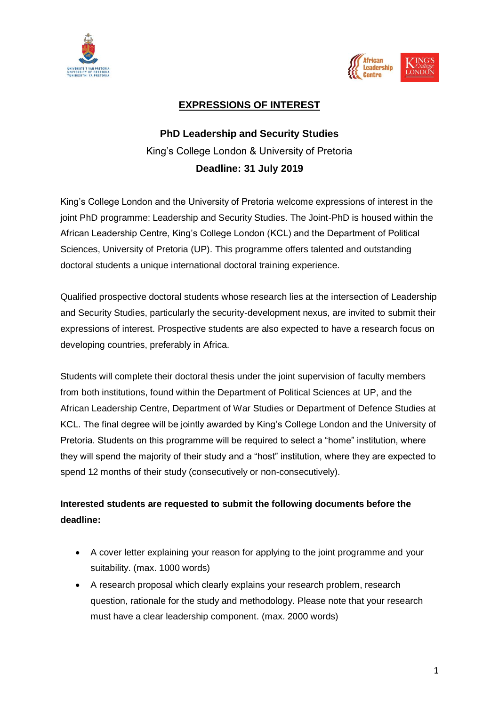



## **EXPRESSIONS OF INTEREST**

# **PhD Leadership and Security Studies** King's College London & University of Pretoria **Deadline: 31 July 2019**

King's College London and the University of Pretoria welcome expressions of interest in the joint PhD programme: Leadership and Security Studies. The Joint-PhD is housed within the African Leadership Centre, King's College London (KCL) and the Department of Political Sciences, University of Pretoria (UP). This programme offers talented and outstanding doctoral students a unique international doctoral training experience.

Qualified prospective doctoral students whose research lies at the intersection of Leadership and Security Studies, particularly the security-development nexus, are invited to submit their expressions of interest. Prospective students are also expected to have a research focus on developing countries, preferably in Africa.

Students will complete their doctoral thesis under the joint supervision of faculty members from both institutions, found within the Department of Political Sciences at UP, and the African Leadership Centre, Department of War Studies or Department of Defence Studies at KCL. The final degree will be jointly awarded by King's College London and the University of Pretoria. Students on this programme will be required to select a "home" institution, where they will spend the majority of their study and a "host" institution, where they are expected to spend 12 months of their study (consecutively or non-consecutively).

# **Interested students are requested to submit the following documents before the deadline:**

- A cover letter explaining your reason for applying to the joint programme and your suitability. (max. 1000 words)
- A research proposal which clearly explains your research problem, research question, rationale for the study and methodology. Please note that your research must have a clear leadership component. (max. 2000 words)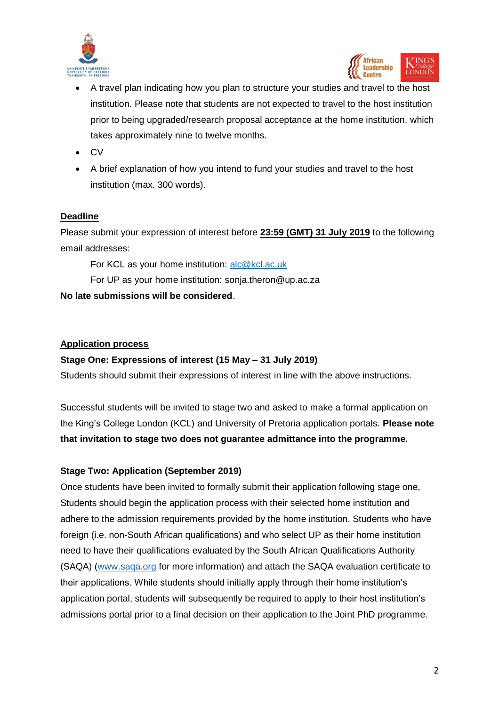



- A travel plan indicating how you plan to structure your studies and travel to the host institution. Please note that students are not expected to travel to the host institution prior to being upgraded/research proposal acceptance at the home institution, which takes approximately nine to twelve months.
- CV
- A brief explanation of how you intend to fund your studies and travel to the host institution (max. 300 words).

#### **Deadline**

Please submit your expression of interest before **23:59 (GMT) 31 July 2019** to the following email addresses:

For KCL as your home institution: [alc@kcl.ac.uk](mailto:alc@kcl.ac.uk)

For UP as your home institution: sonja.theron@up.ac.za

**No late submissions will be considered**.

#### **Application process**

#### **Stage One: Expressions of interest (15 May – 31 July 2019)**

Students should submit their expressions of interest in line with the above instructions.

Successful students will be invited to stage two and asked to make a formal application on the King's College London (KCL) and University of Pretoria application portals. **Please note that invitation to stage two does not guarantee admittance into the programme.**

### **Stage Two: Application (September 2019)**

Once students have been invited to formally submit their application following stage one, Students should begin the application process with their selected home institution and adhere to the admission requirements provided by the home institution. Students who have foreign (i.e. non-South African qualifications) and who select UP as their home institution need to have their qualifications evaluated by the South African Qualifications Authority (SAQA) [\(www.saqa.org](http://www.saqa.org/) for more information) and attach the SAQA evaluation certificate to their applications. While students should initially apply through their home institution's application portal, students will subsequently be required to apply to their host institution's admissions portal prior to a final decision on their application to the Joint PhD programme.